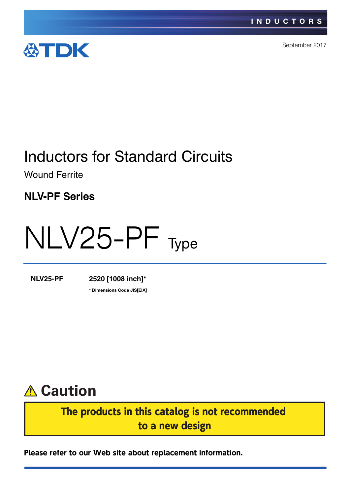

September 2017

# Inductors for Standard Circuits

Wound Ferrite

**NLV-PF Series**

# NLV25-PF Type

**NLV25-PF 2520 [1008 inch]\***

**\*** Dimensions Code JIS[EIA]

# **Caution**

The products in this catalog is not recommended to a new design

**Please refer to our Web site about replacement information.**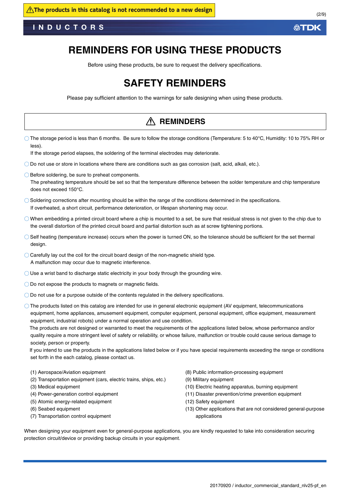### **REMINDERS FOR USING THESE PRODUCTS**

Before using these products, be sure to request the delivery specifications.

### **SAFETY REMINDERS**

Please pay sufficient attention to the warnings for safe designing when using these products.

#### The storage period is less than 6 months. Be sure to follow the storage conditions (Temperature: 5 to 40°C, Humidity: 10 to 75% RH or less). If the storage period elapses, the soldering of the terminal electrodes may deteriorate. Do not use or store in locations where there are conditions such as gas corrosion (salt, acid, alkali, etc.).  $\bigcirc$  Before soldering, be sure to preheat components. The preheating temperature should be set so that the temperature difference between the solder temperature and chip temperature does not exceed 150°C. Soldering corrections after mounting should be within the range of the conditions determined in the specifications. If overheated, a short circuit, performance deterioration, or lifespan shortening may occur.  $\bigcirc$  When embedding a printed circuit board where a chip is mounted to a set, be sure that residual stress is not given to the chip due to the overall distortion of the printed circuit board and partial distortion such as at screw tightening portions. Self heating (temperature increase) occurs when the power is turned ON, so the tolerance should be sufficient for the set thermal design.  $\bigcirc$  Carefully lay out the coil for the circuit board design of the non-magnetic shield type. A malfunction may occur due to magnetic interference.  $\bigcirc$  Use a wrist band to discharge static electricity in your body through the grounding wire. O Do not expose the products to magnets or magnetic fields. Do not use for a purpose outside of the contents regulated in the delivery specifications. The products listed on this catalog are intended for use in general electronic equipment (AV equipment, telecommunications equipment, home appliances, amusement equipment, computer equipment, personal equipment, office equipment, measurement equipment, industrial robots) under a normal operation and use condition. The products are not designed or warranted to meet the requirements of the applications listed below, whose performance and/or quality require a more stringent level of safety or reliability, or whose failure, malfunction or trouble could cause serious damage to society, person or property. If you intend to use the products in the applications listed below or if you have special requirements exceeding the range or conditions set forth in the each catalog, please contact us. (1) Aerospace/Aviation equipment (2) Transportation equipment (cars, electric trains, ships, etc.) (3) Medical equipment (4) Power-generation control equipment (5) Atomic energy-related equipment (6) Seabed equipment (7) Transportation control equipment (8) Public information-processing equipment (9) Military equipment (10) Electric heating apparatus, burning equipment (11) Disaster prevention/crime prevention equipment (12) Safety equipment (13) Other applications that are not considered general-purpose applications When designing your equipment even for general-purpose applications, you are kindly requested to take into consideration securing protection circuit/device or providing backup circuits in your equipment. **REMINDERS**

**ATDK**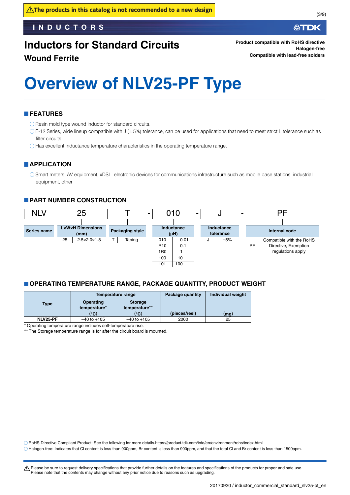# **Inductors for Standard Circuits**

**Wound Ferrite**

**Product compatible with RoHS directive Halogen-free Compatible with lead-free solders**

# **Overview of NLV25-PF Type**

#### **FEATURES**

 $\bigcirc$  Resin mold type wound inductor for standard circuits.

- $\circ$  E-12 Series, wide lineup compatible with J ( $\pm$ 5%) tolerance, can be used for applications that need to meet strict L tolerance such as filter circuits.
- Has excellent inductance temperature characteristics in the operating temperature range.

#### **APPLICATION**

Smart meters, AV equipment, xDSL, electronic devices for communications infrastructure such as mobile base stations, industrial equipment, other

#### **PART NUMBER CONSTRUCTION**



#### **OPERATING TEMPERATURE RANGE, PACKAGE QUANTITY, PRODUCT WEIGHT**

|             |                                    | Temperature range               | Package quantity | Individual weight |
|-------------|------------------------------------|---------------------------------|------------------|-------------------|
| <b>Type</b> | Operating<br>temperature*          | <b>Storage</b><br>temperature** |                  |                   |
|             | (°C)                               | $^{\circ}$ C)                   | (pieces/reel)    | (mq)              |
| NLV25-PF    | $-40$ to $+105$<br>$-40$ to $+105$ |                                 | 2000             | 25                |

Operating temperature range includes self-temperature rise.

The Storage temperature range is for after the circuit board is mounted.

RoHS Directive Compliant Product: See the following for more details.https://product.tdk.com/info/en/environment/rohs/index.html

Halogen-free: Indicates that Cl content is less than 900ppm, Br content is less than 900ppm, and that the total Cl and Br content is less than 1500ppm.

t Please be sure to request delivery specifications that provide further details on the features and specifications of the products for proper and safe use. Please note that the contents may change without any prior notice due to reasons such as upgrading.

∰TDK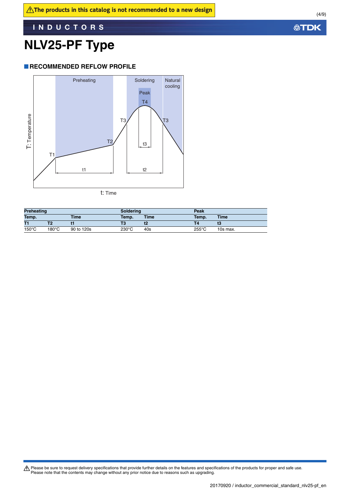# **NLV25-PF Type**

#### **RECOMMENDED REFLOW PROFILE**



t: Time

| Preheating      |       | Soldering   |               | Peak |                 |             |
|-----------------|-------|-------------|---------------|------|-----------------|-------------|
| Temp.           |       | <b>Time</b> | Time<br>Temp. |      | Temp.           | <b>Time</b> |
| T1              |       |             | Τ3            |      |                 |             |
| $150^{\circ}$ C | 180°C | 90 to 120s  | 230°C         | 40s  | $255^{\circ}$ C | 10s max.    |

Please be sure to request delivery specifications that provide further details on the features and specifications of the products for proper and safe use.<br>Please note that the contents may change without any prior notice d

**公TDK**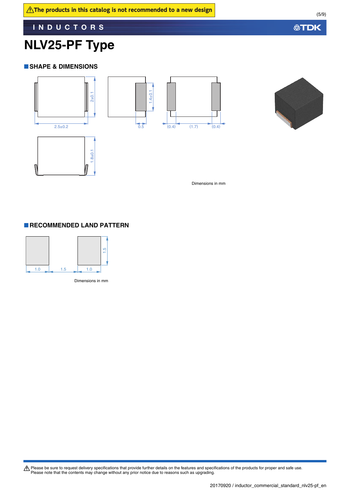### **NLV25-PF Type**

#### **SHAPE & DIMENSIONS**





Dimensions in mm

#### **RECOMMENDED LAND PATTERN**



Please be sure to request delivery specifications that provide further details on the features and specifications of the products for proper and safe use.<br>Please note that the contents may change without any prior notice d

**公TDK**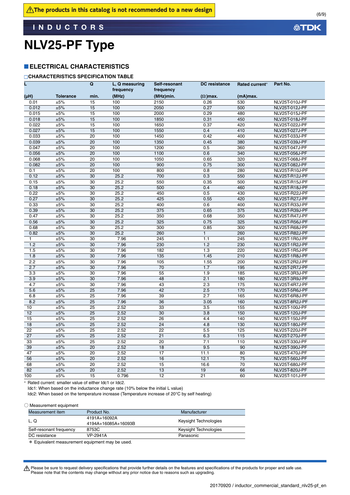# **NLV25-PF Type**

#### **ELECTRICAL CHARACTERISTICS**

#### **CHARACTERISTICS SPECIFICATION TABLE**

|                  |                  | $\mathbf Q$     | L, Q measuring<br>frequency | Self-resonant<br>frequency | <b>DC</b> resistance | Rated current*    | Part No.              |
|------------------|------------------|-----------------|-----------------------------|----------------------------|----------------------|-------------------|-----------------------|
| (µH)             | <b>Tolerance</b> | min.            | (MHz)                       | (MHz)min.                  | $(\Omega)$ max.      | (mA)max.          |                       |
| 0.01             | ±5%              | 15              | 100                         | 2150                       | 0.26                 | 530               | NLV25T-010J-PF        |
| 0.012            | ±5%              | 15              | 100                         | 2050                       | 0.27                 | 500               | NLV25T-012J-PF        |
| 0.015            | ±5%              | 15              | 100                         | 2000                       | 0.29                 | 480               | NLV25T-015J-PF        |
| 0.018            | ±5%              | 15              | 100                         | 1850                       | 0.31                 | 450               | NLV25T-018J-PF        |
| 0.022            | ±5%              | 15              | 100                         | 1650                       | 0.37                 | 420               | NLV25T-022J-PF        |
| 0.027            | ±5%              | 15              | 100                         | 1550                       | 0.4                  | 410               | NLV25T-027J-PF        |
| 0.033            | ±5%              | 20              | 100                         | 1450                       | 0.42                 | 400               | NLV25T-033J-PF        |
| 0.039            | ±5%              | 20              | 100                         | 1350                       | 0.45                 | 380               | NLV25T-039J-PF        |
| 0.047            | ±5%              | $\overline{20}$ | 100                         | 1200                       | 0.5                  | 360               | NLV25T-047J-PF        |
| 0.056            | ±5%              | 20              | 100                         | 1100                       | 0.6                  | 340               | NLV25T-056J-PF        |
| 0.068            | ±5%              | 20              | 100                         | 1050                       | 0.65                 | 320               | NLV25T-068J-PF        |
| 0.082            | ±5%              | $\overline{20}$ | 100                         | 900                        | 0.75                 | 300               | NLV25T-082J-PF        |
| 0.1              | ±5%              | 20              | 100                         | 800                        | 0.8                  | 280               | NLV25T-R10J-PF        |
| 0.12             | ±5%              | 30              | 25.2                        | 700                        | 0.3                  | 550               | NLV25T-R12J-PF        |
| 0.15             | ±5%              | 30              | 25.2                        | 550                        | 0.35                 | 500               | NLV25T-R15J-PF        |
| 0.18             | ±5%              | $\overline{30}$ | 25.2                        | 500                        | 0.4                  | 460               | NLV25T-R18J-PF        |
| 0.22             | ±5%              | $\overline{30}$ | 25.2                        | 450                        | 0.5                  | 430               | NLV25T-R22J-PF        |
| 0.27             | ±5%              | 30              | 25.2                        | 425                        | 0.55                 | 420               | NLV25T-R27J-PF        |
| 0.33             | ±5%              | 30              | 25.2                        | 400                        | 0.6                  | 400               | NLV25T-R33J-PF        |
| 0.39             | ±5%              | 30              | 25.2                        | 375                        | 0.65                 | 375               | NLV25T-R39J-PF        |
| 0.47             | ±5%              | 30              | 25.2                        | 350                        | 0.68                 | 350               | NLV25T-R47J-PF        |
| 0.56             | ±5%              | 30              | 25.2                        | 325                        | 0.75                 | 325               | NLV25T-R56J-PF        |
| 0.68             | ±5%              | 30              | 25.2                        | 300                        | 0.85                 | 300               | NLV25T-R68J-PF        |
| 0.82             | $\pm 5\%$        | $\overline{30}$ | 25.2                        | 260                        | $\mathbf{1}$         | 260               | NLV25T-R82J-PF        |
| 1                | $\pm 5\%$        | $\overline{30}$ | 7.96                        | $\overline{245}$           | 1.1                  | $\overline{245}$  | NLV25T-1R0J-PF        |
| 1.2              | ±5%              | $\overline{30}$ | 7.96                        | 230                        | 1.2                  | 230               | NLV25T-1R2J-PF        |
| 1.5              | ±5%              | $\overline{30}$ | 7.96                        | 182                        | 1.3                  | 220               | NLV25T-1R5J-PF        |
| 1.8              | ±5%              | 30              | 7.96                        | 135                        | 1.45                 | 210               | NLV25T-1R8J-PF        |
| $\overline{2.2}$ | ±5%              | 30              | 7.96                        | 105                        | 1.55                 | 200               | NLV25T-2R2J-PF        |
| 2.7              | ±5%              | 30              | 7.96                        | 70                         | 1.7                  | 195               | NLV25T-2R7J-PF        |
| 3.3              | ±5%              | 30              | 7.96                        | 55                         | 1.9                  | 185               | NLV25T-3R3J-PF        |
| 3.9              | $\pm 5\%$        | 30              | 7.96                        | 48                         | 2.1                  | 180               | NLV25T-3R9J-PF        |
| 4.7              | ±5%              | 30              | 7.96                        | 43                         | 2.3                  | 175               | NLV25T-4R7J-PF        |
| 5.6              | ±5%              | $\overline{25}$ | 7.96                        | 42                         | 2.5                  | 170               | NLV25T-5R6J-PF        |
| 6.8              | ±5%              | $\overline{25}$ | 7.96                        | 39                         | 2.7                  | 165               | NLV25T-6R8J-PF        |
| 8.2              | ±5%              | $\overline{25}$ | 7.96                        | $\overline{36}$            | 3.05                 | 160               | NLV25T-8R2J-PF        |
| 10               | ±5%              | 25              | 2.52                        | 33                         | 3.5                  | 155               | NLV25T-100J-PF        |
| 12               | ±5%              | 25              | 2.52                        | 30                         | 3.8                  | 150               | <b>NLV25T-120J-PF</b> |
| 15               | ±5%              | 25              | 2.52                        | 26                         | 4.4                  | 140               | NLV25T-150J-PF        |
| 18               | ±5%              | 25              | 2.52                        | 24                         | 4.8                  | 130               | NLV25T-180J-PF        |
| 22               | ±5%              | 25              | 2.52                        | $\overline{22}$            | 5.5                  | 125               | NLV25T-220J-PF        |
| 27               | ±5%              | $\overline{25}$ | 2.52                        | $\overline{21}$            | 6.3                  | $\frac{115}{115}$ | NLV25T-270J-PF        |
| 33               | ±5%              | 25              | 2.52                        | 20                         | 7.1                  | 110               | NLV25T-330J-PF        |
| 39               | ±5%              | $\overline{20}$ | 2.52                        | 18                         | 9.5                  | 90                | NLV25T-390J-PF        |
| 47               | ±5%              | 20              | 2.52                        | 17                         | 11.1                 | 80                | NLV25T-470J-PF        |
| 56               | ±5%              | 20              | 2.52                        | 16                         | 12.1                 | 75                | NLV25T-560J-PF        |
| 68               | ±5%              | 20              | 2.52                        | 15                         | 16.6                 | 70                | <b>NLV25T-680J-PF</b> |
| 82               | ±5%              | 20              | 2.52                        | 13                         | 19                   | 66                | NLV25T-820J-PF        |
| 100              | ±5%              | 15              | 0.796                       | 12                         | 21                   | 60                | NLV25T-101J-PF        |
|                  |                  |                 |                             |                            |                      |                   |                       |

\* Rated current: smaller value of either Idc1 or Idc2.

Idc1: When based on the inductance change rate (10% below the initial L value)

Idc2: When based on the temperature increase (Temperature increase of 20°C by self heating)

○ Measurement equipment

| Measurement item        | Product No.         | Manufacturer          |  |  |
|-------------------------|---------------------|-----------------------|--|--|
|                         |                     |                       |  |  |
|                         | 4191A+16092A        |                       |  |  |
| L.Q                     | 4194A+16085A+16093B | Keysight Technologies |  |  |
| Self-resonant frequency | 8753C               | Keysight Technologies |  |  |
| DC resistance           | VP-2941A            | Panasonic             |  |  |
|                         |                     |                       |  |  |

\* Equivalent measurement equipment may be used.

**公TDK** 

Please be sure to request delivery specifications that provide further details on the features and specifications of the products for proper and safe use.<br>Please note that the contents may change without any prior notice d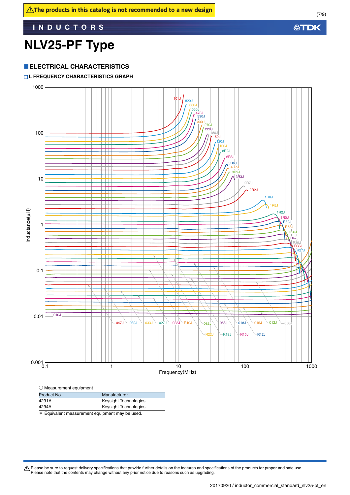# **NLV25-PF Type**

#### **ELECTRICAL CHARACTERISTICS**

#### **L FREQUENCY CHARACTERISTICS GRAPH**



| Product No. | Manufacturer          |
|-------------|-----------------------|
| 4291A       | Keysight Technologies |
| 4294A       | Keysight Technologies |
|             |                       |

\* Equivalent measurement equipment may be used.

Please be sure to request delivery specifications that provide further details on the features and specifications of the products for proper and safe use.<br>Please note that the contents may change without any prior notice d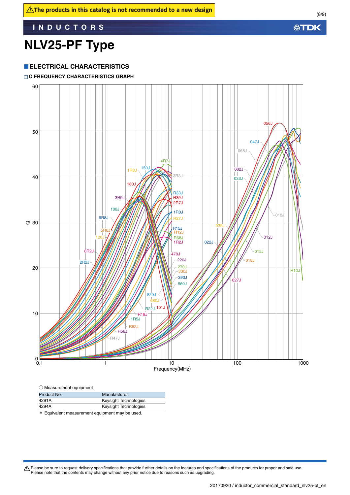# **NLV25-PF Type**

#### **ELECTRICAL CHARACTERISTICS**

#### **Q FREQUENCY CHARACTERISTICS GRAPH**

![](_page_7_Figure_5.jpeg)

| $\bigcirc$ Measurement equipment |  |
|----------------------------------|--|
|----------------------------------|--|

| Product No. | Manufacturer                                                            |
|-------------|-------------------------------------------------------------------------|
| 4291A       | Keysight Technologies                                                   |
| 4294A       | Keysight Technologies                                                   |
|             | stell march on langt page and constant and constant page in law constal |

\* Equivalent measurement equipment may be used.

Please be sure to request delivery specifications that provide further details on the features and specifications of the products for proper and safe use.<br>Please note that the contents may change without any prior notice d

**公TDK**